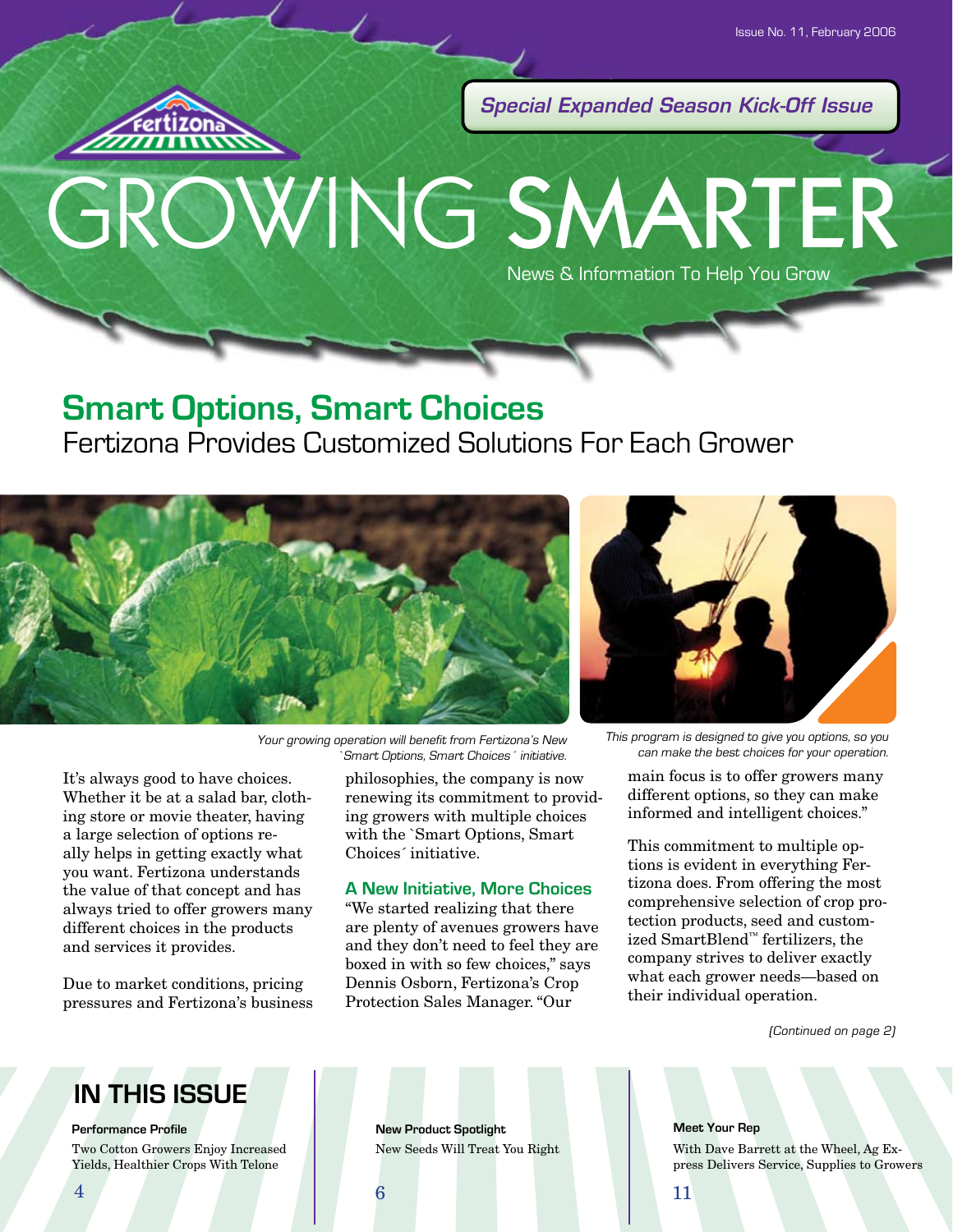

*Special Expanded Season Kick-Off Issue*

# GROWING SMARTER News & Information To Help You Grow

## **Smart Options, Smart Choices**

## Fertizona Provides Customized Solutions For Each Grower



Your growing operation will benefit from Fertizona's New Smart Options, Smart Choices<sup>c</sup> initiative.

It's always good to have choices. Whether it be at a salad bar, clothing store or movie theater, having a large selection of options really helps in getting exactly what you want. Fertizona understands the value of that concept and has always tried to offer growers many different choices in the products and services it provides.

Due to market conditions, pricing pressures and Fertizona's business philosophies, the company is now renewing its commitment to providing growers with multiple choices with the `Smart Options, Smart Choices´ initiative.

#### **A New Initiative, More Choices**

"We started realizing that there are plenty of avenues growers have and they don't need to feel they are boxed in with so few choices," says Dennis Osborn, Fertizona's Crop Protection Sales Manager. "Our



This program is designed to give you options, so you can make the best choices for your operation.

main focus is to offer growers many different options, so they can make informed and intelligent choices."

This commitment to multiple options is evident in everything Fertizona does. From offering the most comprehensive selection of crop protection products, seed and customized SmartBlend™ fertilizers, the company strives to deliver exactly what each grower needs—based on their individual operation.

(Continued on page 2)

## **IN THIS ISSUE**

**Performance Profile New Product Spotlight** 

Two Cotton Growers Enjoy Increased New Seeds Will Treat You Right Yields, Healthier Crops With Telone

**Meet Your Rep**

With Dave Barrett at the Wheel, Ag Express Delivers Service, Supplies to Growers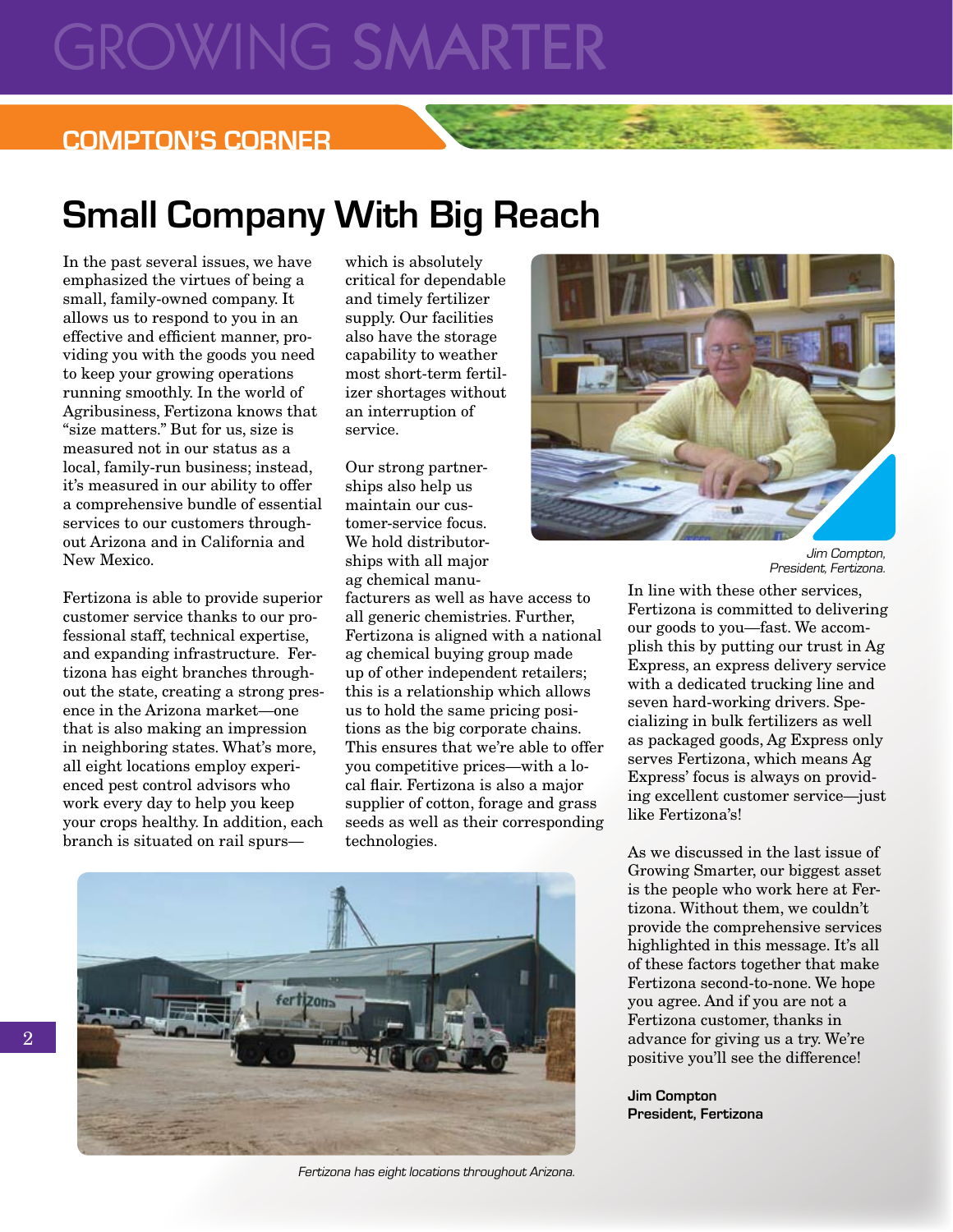# **GROWING SMARTE**

### **COMPTON'S CORNER**

# **Small Company With Big Reach**

In the past several issues, we have emphasized the virtues of being a small, family-owned company. It allows us to respond to you in an effective and efficient manner, providing you with the goods you need to keep your growing operations running smoothly. In the world of Agribusiness, Fertizona knows that "size matters." But for us, size is measured not in our status as a local, family-run business; instead, it's measured in our ability to offer a comprehensive bundle of essential services to our customers throughout Arizona and in California and New Mexico.

Fertizona is able to provide superior customer service thanks to our professional staff, technical expertise, and expanding infrastructure. Fertizona has eight branches throughout the state, creating a strong presence in the Arizona market—one that is also making an impression in neighboring states. What's more, all eight locations employ experienced pest control advisors who work every day to help you keep your crops healthy. In addition, each branch is situated on rail spurs—

which is absolutely critical for dependable and timely fertilizer supply. Our facilities also have the storage capability to weather most short-term fertilizer shortages without an interruption of service.

Our strong partnerships also help us maintain our customer-service focus. We hold distributorships with all major ag chemical manu-

facturers as well as have access to all generic chemistries. Further, Fertizona is aligned with a national ag chemical buying group made up of other independent retailers; this is a relationship which allows us to hold the same pricing positions as the big corporate chains. This ensures that we're able to offer you competitive prices—with a local flair. Fertizona is also a major supplier of cotton, forage and grass seeds as well as their corresponding technologies.



Fertizona has eight locations throughout Arizona.



Jim Compton, President, Fertizona.

In line with these other services, Fertizona is committed to delivering our goods to you—fast. We accomplish this by putting our trust in Ag Express, an express delivery service with a dedicated trucking line and seven hard-working drivers. Specializing in bulk fertilizers as well as packaged goods, Ag Express only serves Fertizona, which means Ag Express' focus is always on providing excellent customer service—just like Fertizona's!

As we discussed in the last issue of Growing Smarter, our biggest asset is the people who work here at Fertizona. Without them, we couldn't provide the comprehensive services highlighted in this message. It's all of these factors together that make Fertizona second-to-none. We hope you agree. And if you are not a Fertizona customer, thanks in advance for giving us a try. We're positive you'll see the difference!

**Jim Compton President, Fertizona**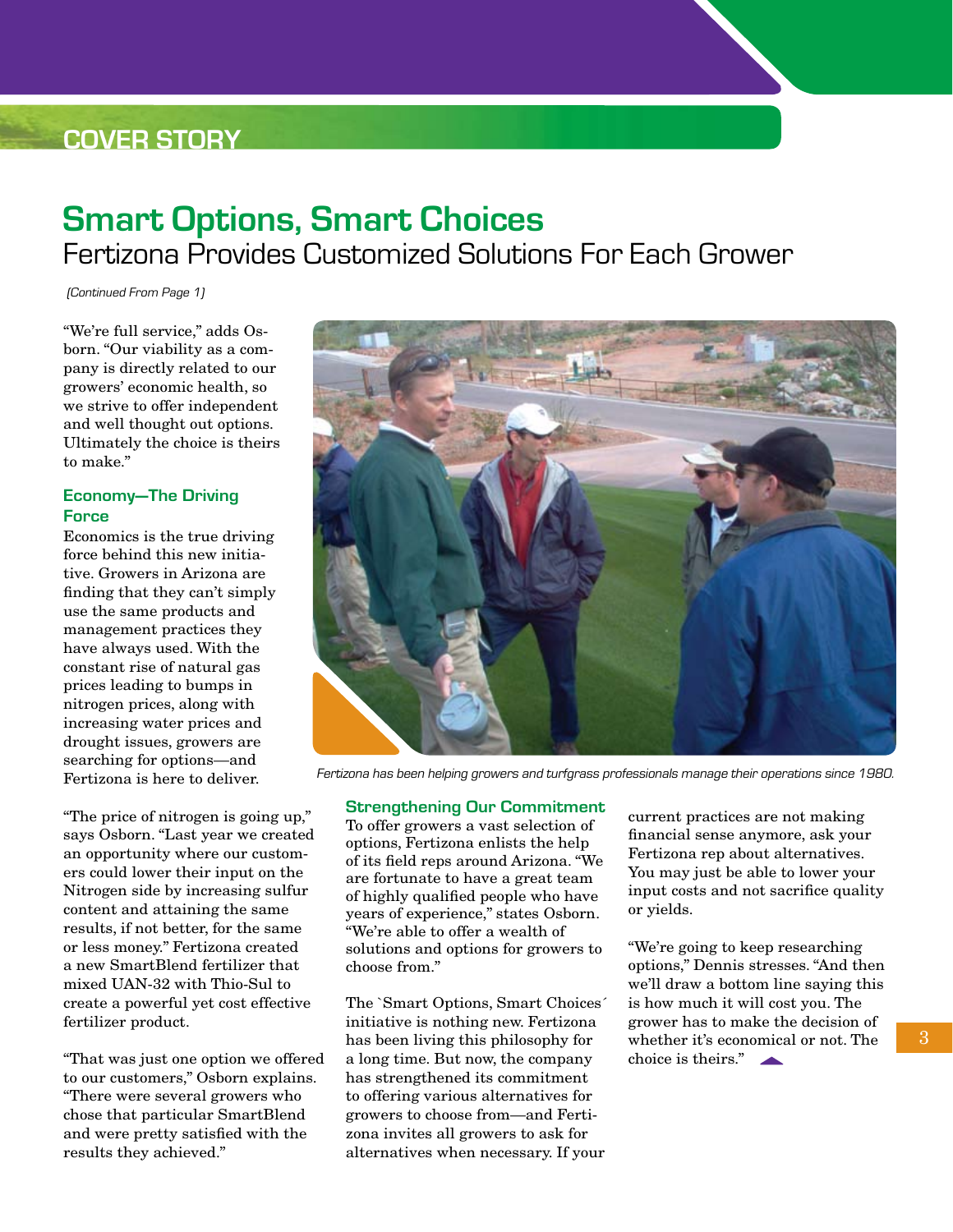## **COVER STORY**

# **Smart Options, Smart Choices** Fertizona Provides Customized Solutions For Each Grower

(Continued From Page 1)

"We're full service," adds Osborn. "Our viability as a company is directly related to our growers' economic health, so we strive to offer independent and well thought out options. Ultimately the choice is theirs to make."

#### **Economy—The Driving Force**

Economics is the true driving force behind this new initiative. Growers in Arizona are finding that they can't simply use the same products and management practices they have always used. With the constant rise of natural gas prices leading to bumps in nitrogen prices, along with increasing water prices and drought issues, growers are searching for options—and Fertizona is here to deliver.

"The price of nitrogen is going up," says Osborn. "Last year we created an opportunity where our customers could lower their input on the Nitrogen side by increasing sulfur content and attaining the same results, if not better, for the same or less money." Fertizona created a new SmartBlend fertilizer that mixed UAN-32 with Thio-Sul to create a powerful yet cost effective fertilizer product.

"That was just one option we offered to our customers," Osborn explains. "There were several growers who chose that particular SmartBlend and were pretty satisfied with the results they achieved."



Fertizona has been helping growers and turfgrass professionals manage their operations since 1980.

#### **Strengthening Our Commitment**

To offer growers a vast selection of options, Fertizona enlists the help of its field reps around Arizona. "We are fortunate to have a great team of highly qualified people who have years of experience," states Osborn. "We're able to offer a wealth of solutions and options for growers to choose from."

The `Smart Options, Smart Choices´ initiative is nothing new. Fertizona has been living this philosophy for a long time. But now, the company has strengthened its commitment to offering various alternatives for growers to choose from—and Fertizona invites all growers to ask for alternatives when necessary. If your current practices are not making financial sense anymore, ask your Fertizona rep about alternatives. You may just be able to lower your input costs and not sacrifice quality or yields.

"We're going to keep researching options," Dennis stresses. "And then we'll draw a bottom line saying this is how much it will cost you. The grower has to make the decision of whether it's economical or not. The choice is theirs."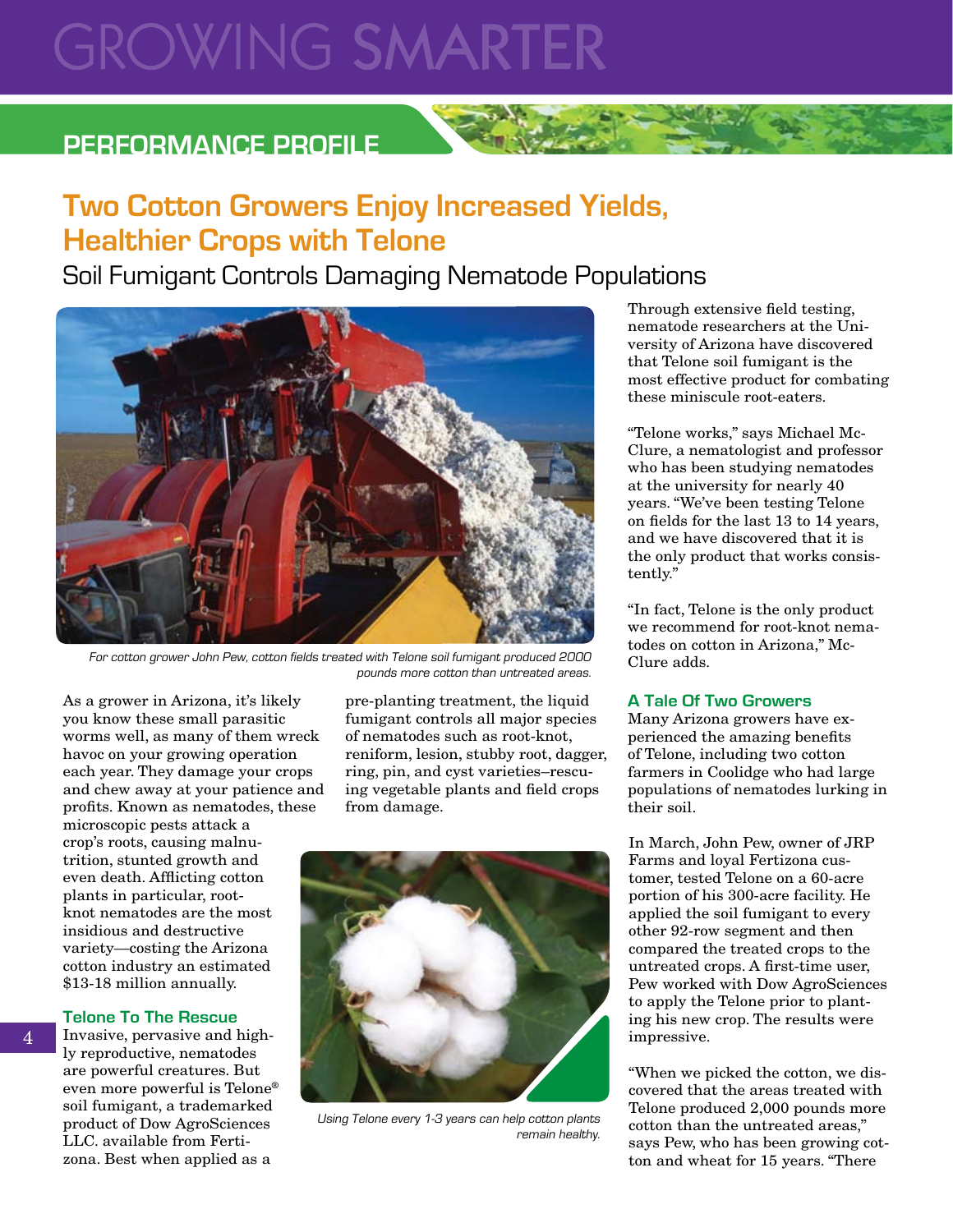# **GROWING SMARTER**

### **Performance Profile**

## **Two Cotton Growers Enjoy Increased Yields, Healthier Crops with Telone**

Soil Fumigant Controls Damaging Nematode Populations



For cotton grower John Pew, cotton fields treated with Telone soil fumigant produced 2000 pounds more cotton than untreated areas.

As a grower in Arizona, it's likely you know these small parasitic worms well, as many of them wreck havoc on your growing operation each year. They damage your crops and chew away at your patience and profits. Known as nematodes, these microscopic pests attack a crop's roots, causing malnutrition, stunted growth and even death. Afflicting cotton plants in particular, rootknot nematodes are the most insidious and destructive variety—costing the Arizona cotton industry an estimated \$13-18 million annually.

#### **Telone To The Rescue**

Invasive, pervasive and highly reproductive, nematodes are powerful creatures. But even more powerful is Telone® soil fumigant, a trademarked product of Dow AgroSciences LLC. available from Fertizona. Best when applied as a

pre-planting treatment, the liquid fumigant controls all major species of nematodes such as root-knot, reniform, lesion, stubby root, dagger, ring, pin, and cyst varieties–rescuing vegetable plants and field crops from damage.



Using Telone every 1-3 years can help cotton plants remain healthy.

Through extensive field testing, nematode researchers at the University of Arizona have discovered that Telone soil fumigant is the most effective product for combating these miniscule root-eaters.

"Telone works," says Michael Mc-Clure, a nematologist and professor who has been studying nematodes at the university for nearly 40 years. "We've been testing Telone on fields for the last 13 to 14 years, and we have discovered that it is the only product that works consistently."

"In fact, Telone is the only product we recommend for root-knot nematodes on cotton in Arizona," Mc-Clure adds.

#### **A Tale Of Two Growers**

Many Arizona growers have experienced the amazing benefits of Telone, including two cotton farmers in Coolidge who had large populations of nematodes lurking in their soil.

In March, John Pew, owner of JRP Farms and loyal Fertizona customer, tested Telone on a 60-acre portion of his 300-acre facility. He applied the soil fumigant to every other 92-row segment and then compared the treated crops to the untreated crops. A first-time user, Pew worked with Dow AgroSciences to apply the Telone prior to planting his new crop. The results were impressive.

"When we picked the cotton, we discovered that the areas treated with Telone produced 2,000 pounds more cotton than the untreated areas," says Pew, who has been growing cotton and wheat for 15 years. "There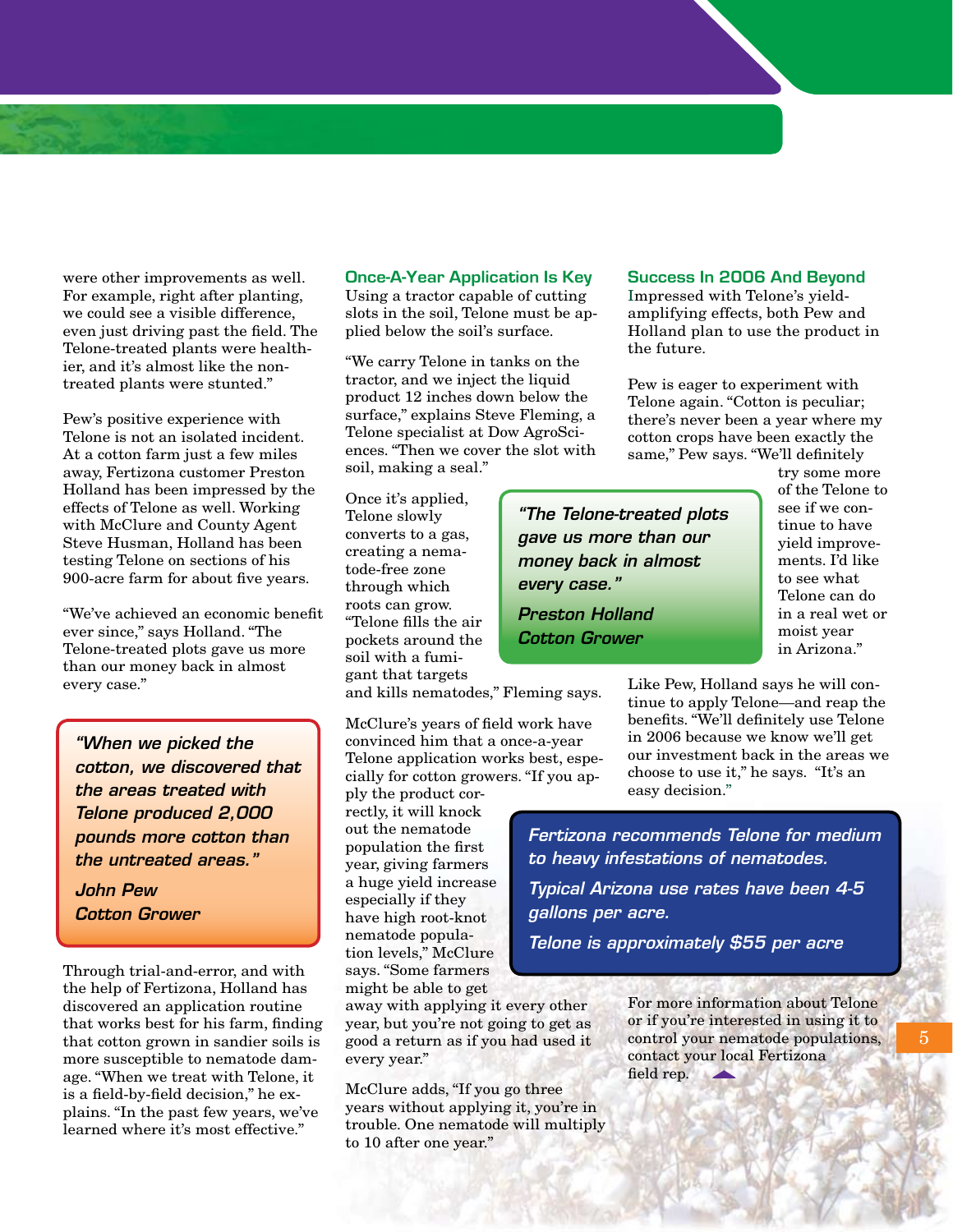were other improvements as well. For example, right after planting, we could see a visible difference, even just driving past the field. The Telone-treated plants were healthier, and it's almost like the nontreated plants were stunted."

Pew's positive experience with Telone is not an isolated incident. At a cotton farm just a few miles away, Fertizona customer Preston Holland has been impressed by the effects of Telone as well. Working with McClure and County Agent Steve Husman, Holland has been testing Telone on sections of his 900-acre farm for about five years.

"We've achieved an economic benefit ever since," says Holland. "The Telone-treated plots gave us more than our money back in almost every case."

*"When we picked the cotton, we discovered that the areas treated with Telone produced 2,000 pounds more cotton than the untreated areas."*

*John Pew Cotton Grower*

Through trial-and-error, and with the help of Fertizona, Holland has discovered an application routine that works best for his farm, finding that cotton grown in sandier soils is more susceptible to nematode damage. "When we treat with Telone, it is a field-by-field decision," he explains. "In the past few years, we've learned where it's most effective."

#### **Once-A-Year Application Is Key**

Using a tractor capable of cutting slots in the soil, Telone must be applied below the soil's surface.

"We carry Telone in tanks on the tractor, and we inject the liquid product 12 inches down below the surface," explains Steve Fleming, a Telone specialist at Dow AgroSciences. "Then we cover the slot with soil, making a seal."

Once it's applied, Telone slowly converts to a gas, creating a nematode-free zone through which roots can grow. "Telone fills the air pockets around the soil with a fumigant that targets

and kills nematodes," Fleming says.

McClure's years of field work have convinced him that a once-a-year Telone application works best, especially for cotton growers. "If you ap-

ply the product correctly, it will knock out the nematode population the first year, giving farmers a huge yield increase especially if they have high root-knot nematode population levels," McClure says. "Some farmers might be able to get

away with applying it every other year, but you're not going to get as good a return as if you had used it every year."

McClure adds, "If you go three years without applying it, you're in trouble. One nematode will multiply to 10 after one year."

#### **Success In 2006 And Beyond**

Impressed with Telone's yieldamplifying effects, both Pew and Holland plan to use the product in the future.

Pew is eager to experiment with Telone again. "Cotton is peculiar; there's never been a year where my cotton crops have been exactly the same," Pew says. "We'll definitely

*"The Telone-treated plots gave us more than our money back in almost every case."*

*Preston Holland Cotton Grower*

try some more of the Telone to see if we continue to have yield improvements. I'd like to see what Telone can do in a real wet or moist year in Arizona."

Like Pew, Holland says he will continue to apply Telone—and reap the benefits. "We'll definitely use Telone in 2006 because we know we'll get our investment back in the areas we choose to use it," he says. "It's an easy decision."

*Fertizona recommends Telone for medium to heavy infestations of nematodes. Typical Arizona use rates have been 4-5 gallons per acre.*

*Telone is approximately \$55 per acre*

For more information about Telone or if you're interested in using it to control your nematode populations, contact your local Fertizona field rep.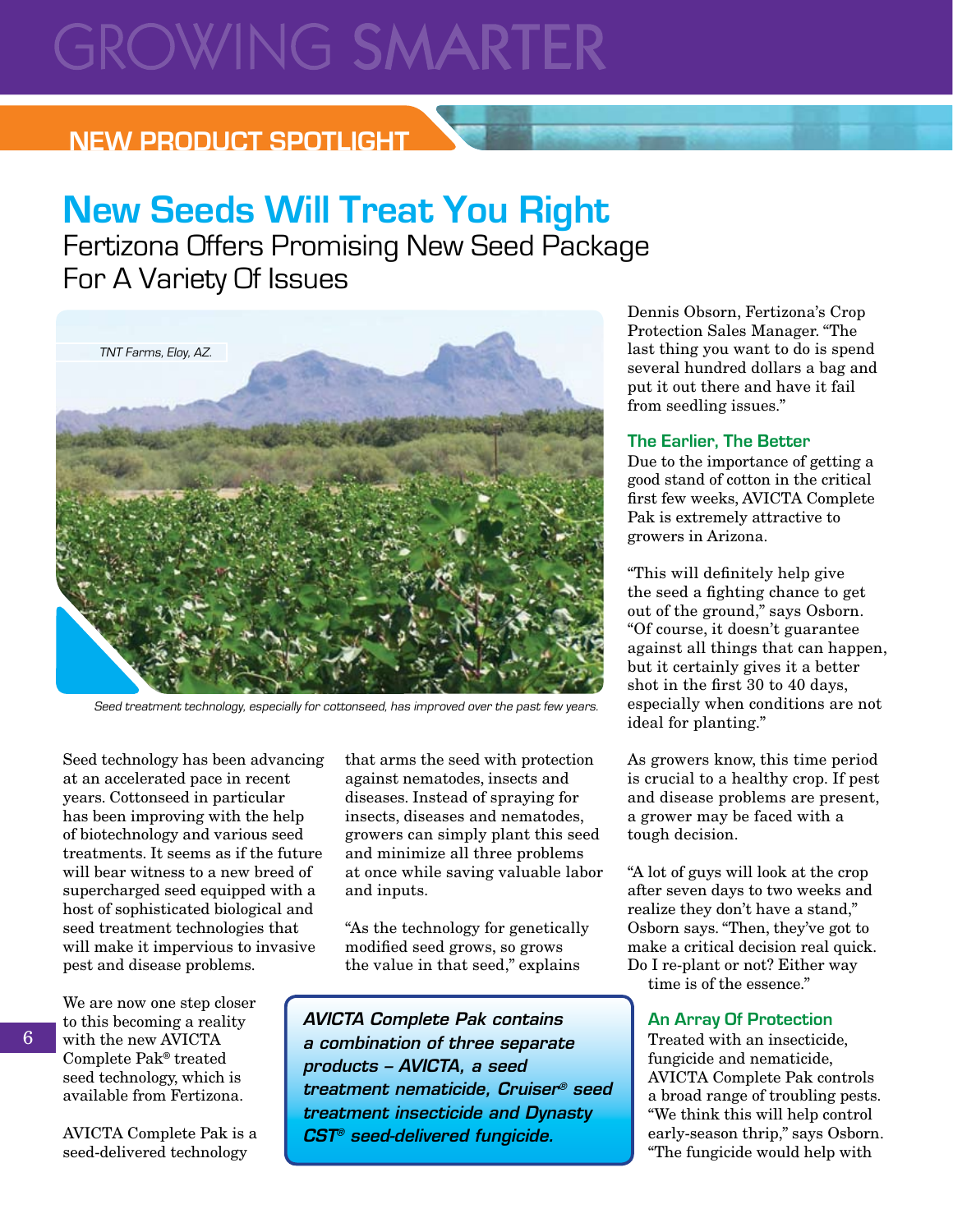# **GROWING SMARTER**

## **NEW PRODUCT SPOTLIGHT**

# **New Seeds Will Treat You Right**

Fertizona Offers Promising New Seed Package For A Variety Of Issues



Seed treatment technology, especially for cottonseed, has improved over the past few years.

Seed technology has been advancing at an accelerated pace in recent years. Cottonseed in particular has been improving with the help of biotechnology and various seed treatments. It seems as if the future will bear witness to a new breed of supercharged seed equipped with a host of sophisticated biological and seed treatment technologies that will make it impervious to invasive pest and disease problems.

6

We are now one step closer to this becoming a reality with the new AVICTA Complete Pak® treated seed technology, which is available from Fertizona.

AVICTA Complete Pak is a seed-delivered technology

that arms the seed with protection against nematodes, insects and diseases. Instead of spraying for insects, diseases and nematodes, growers can simply plant this seed and minimize all three problems at once while saving valuable labor and inputs.

"As the technology for genetically modified seed grows, so grows the value in that seed," explains

*AVICTA Complete Pak contains a combination of three separate products – AVICTA, a seed treatment nematicide, Cruiser® seed treatment insecticide and Dynasty CST® seed-delivered fungicide.*

Dennis Obsorn, Fertizona's Crop Protection Sales Manager. "The last thing you want to do is spend several hundred dollars a bag and put it out there and have it fail from seedling issues."

#### **The Earlier, The Better**

Due to the importance of getting a good stand of cotton in the critical first few weeks, AVICTA Complete Pak is extremely attractive to growers in Arizona.

"This will definitely help give the seed a fighting chance to get out of the ground," says Osborn. "Of course, it doesn't guarantee against all things that can happen, but it certainly gives it a better shot in the first 30 to 40 days, especially when conditions are not ideal for planting."

As growers know, this time period is crucial to a healthy crop. If pest and disease problems are present, a grower may be faced with a tough decision.

"A lot of guys will look at the crop after seven days to two weeks and realize they don't have a stand," Osborn says. "Then, they've got to make a critical decision real quick. Do I re-plant or not? Either way time is of the essence."

#### **An Array Of Protection**

Treated with an insecticide, fungicide and nematicide, AVICTA Complete Pak controls a broad range of troubling pests. "We think this will help control early-season thrip," says Osborn. "The fungicide would help with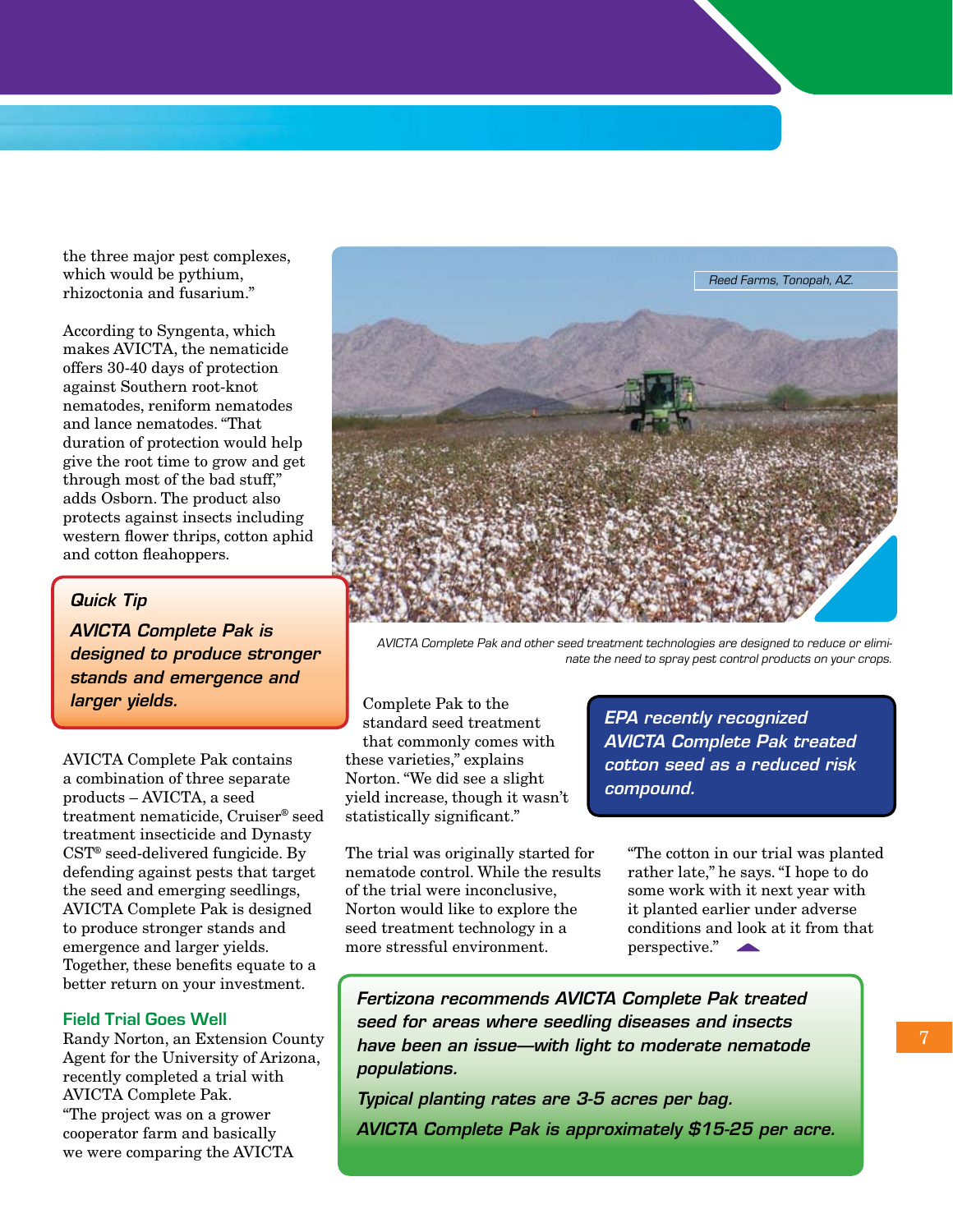the three major pest complexes, which would be pythium, rhizoctonia and fusarium."

According to Syngenta, which makes AVICTA, the nematicide offers 30-40 days of protection against Southern root-knot nematodes, reniform nematodes and lance nematodes. "That duration of protection would help give the root time to grow and get through most of the bad stuff," adds Osborn. The product also protects against insects including western flower thrips, cotton aphid and cotton fleahoppers.

#### *Quick Tip*

*AVICTA Complete Pak is designed to produce stronger stands and emergence and larger yields.* 

AVICTA Complete Pak contains a combination of three separate products – AVICTA, a seed treatment nematicide, Cruiser® seed treatment insecticide and Dynasty CST® seed-delivered fungicide. By defending against pests that target the seed and emerging seedlings, AVICTA Complete Pak is designed to produce stronger stands and emergence and larger yields. Together, these benefits equate to a better return on your investment.

#### **Field Trial Goes Well**

Randy Norton, an Extension County Agent for the University of Arizona, recently completed a trial with AVICTA Complete Pak. "The project was on a grower cooperator farm and basically we were comparing the AVICTA



AVICTA Complete Pak and other seed treatment technologies are designed to reduce or eliminate the need to spray pest control products on your crops.

Complete Pak to the standard seed treatment that commonly comes with these varieties," explains Norton. "We did see a slight yield increase, though it wasn't statistically significant."

The trial was originally started for nematode control. While the results of the trial were inconclusive, Norton would like to explore the seed treatment technology in a more stressful environment.

*EPA recently recognized AVICTA Complete Pak treated cotton seed as a reduced risk compound.*

"The cotton in our trial was planted rather late," he says. "I hope to do some work with it next year with it planted earlier under adverse conditions and look at it from that perspective."

*Fertizona recommends AVICTA Complete Pak treated seed for areas where seedling diseases and insects have been an issue—with light to moderate nematode populations.*

*Typical planting rates are 3-5 acres per bag. AVICTA Complete Pak is approximately \$15-25 per acre.*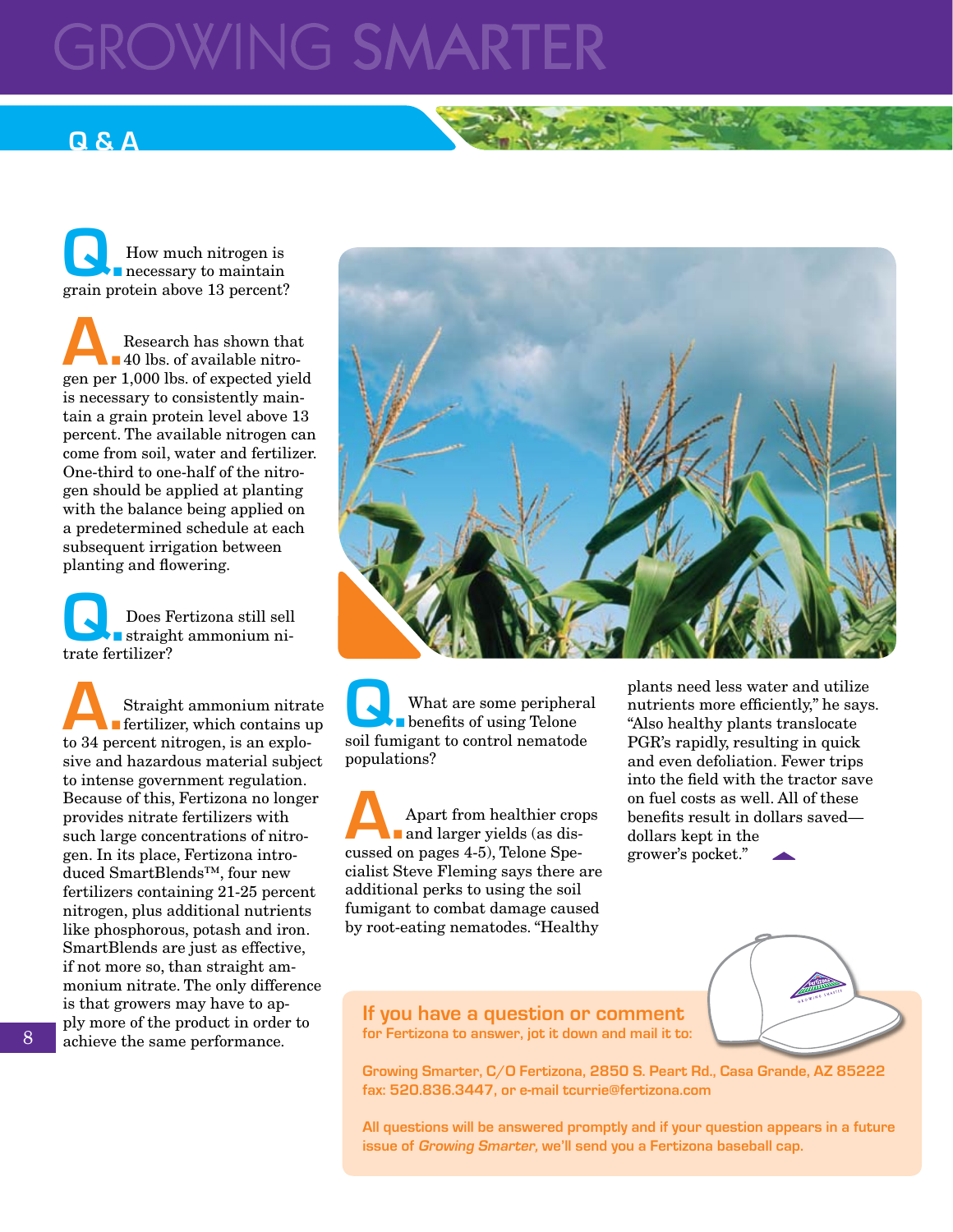# **ROWING SMARTE**

## **Q & A**

**Q.**How much nitrogen is necessary to maintain grain protein above 13 percent?

**A.** Research has shown that<br>**A.** 40 lbs. of available nitro-<br>**Separate 1.000 lbs. of expected vield** 40 lbs. of available nitrogen per 1,000 lbs. of expected yield is necessary to consistently maintain a grain protein level above 13 percent. The available nitrogen can come from soil, water and fertilizer. One-third to one-half of the nitrogen should be applied at planting with the balance being applied on a predetermined schedule at each subsequent irrigation between planting and flowering.

**Q.** Does Fertizona still sell<br>trate fertilizer? straight ammonium nitrate fertilizer?

Straight ammonium nitrate<br> **A.** Straight ammonium nitrate<br>
to 34 percent nitrogen is an explofertilizer, which contains up to 34 percent nitrogen, is an explosive and hazardous material subject to intense government regulation. Because of this, Fertizona no longer provides nitrate fertilizers with such large concentrations of nitrogen. In its place, Fertizona introduced SmartBlends™, four new fertilizers containing 21-25 percent nitrogen, plus additional nutrients like phosphorous, potash and iron. SmartBlends are just as effective, if not more so, than straight ammonium nitrate. The only difference is that growers may have to apply more of the product in order to achieve the same performance.



What are some peripheral<br>soil fumigant to control nematode benefits of using Telone soil fumigant to control nematode populations?

**A.**Apart from healthier crops and larger yields (as discussed on pages 4-5), Telone Specialist Steve Fleming says there are additional perks to using the soil fumigant to combat damage caused by root-eating nematodes. "Healthy

plants need less water and utilize nutrients more efficiently," he says. "Also healthy plants translocate PGR's rapidly, resulting in quick and even defoliation. Fewer trips into the field with the tractor save on fuel costs as well. All of these benefits result in dollars saved dollars kept in the grower's pocket."

**If you have a question or comment for Fertizona to answer, jot it down and mail it to:**



**Growing Smarter, C/O Fertizona, 2850 S. Peart Rd., Casa Grande, AZ 85222 fax: 520.836.3447, or e-mail tcurrie@fertizona.com**

**All questions will be answered promptly and if your question appears in a future issue of Growing Smarter, we'll send you a Fertizona baseball cap.**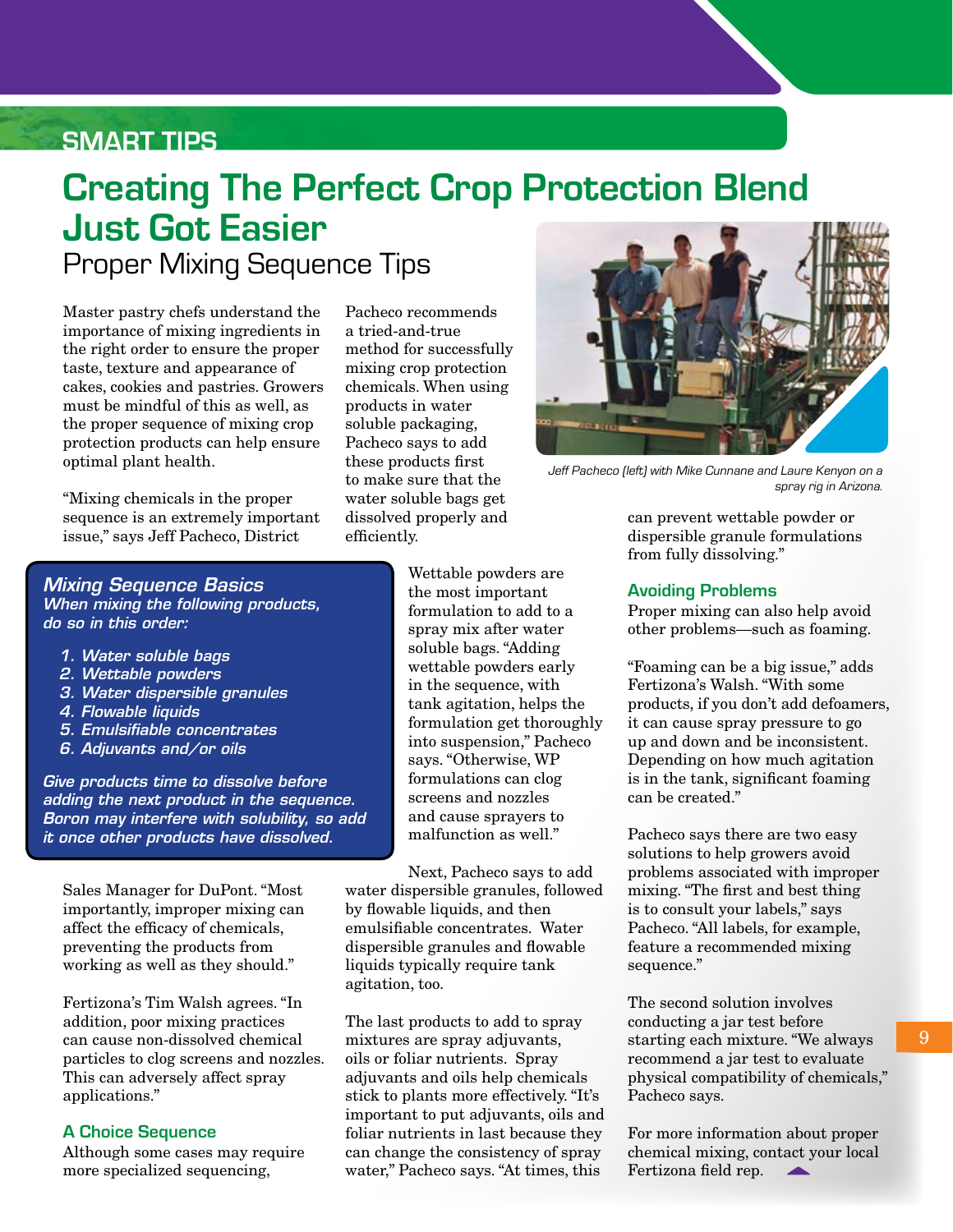### **SMART TIPS**

# **Creating The Perfect Crop Protection Blend Just Got Easier** Proper Mixing Sequence Tips

Master pastry chefs understand the importance of mixing ingredients in the right order to ensure the proper taste, texture and appearance of cakes, cookies and pastries. Growers must be mindful of this as well, as the proper sequence of mixing crop protection products can help ensure optimal plant health.

"Mixing chemicals in the proper sequence is an extremely important issue," says Jeff Pacheco, District

Pacheco recommends a tried-and-true method for successfully mixing crop protection chemicals. When using products in water soluble packaging, Pacheco says to add these products first to make sure that the water soluble bags get dissolved properly and efficiently.



Jeff Pacheco (left) with Mike Cunnane and Laure Kenyon on a spray rig in Arizona.

can prevent wettable powder or dispersible granule formulations from fully dissolving."

#### **Avoiding Problems**

Proper mixing can also help avoid other problems—such as foaming.

"Foaming can be a big issue," adds Fertizona's Walsh. "With some products, if you don't add defoamers, it can cause spray pressure to go up and down and be inconsistent. Depending on how much agitation is in the tank, significant foaming can be created."

Pacheco says there are two easy solutions to help growers avoid problems associated with improper mixing. "The first and best thing is to consult your labels," says Pacheco. "All labels, for example, feature a recommended mixing sequence."

The second solution involves conducting a jar test before starting each mixture. "We always recommend a jar test to evaluate physical compatibility of chemicals," Pacheco says.

For more information about proper chemical mixing, contact your local Fertizona field rep.

#### *Mixing Sequence Basics When mixing the following products, do so in this order:*

- *1. Water soluble bags*
- *2. Wettable powders*
- *3. Water dispersible granules*
- *4. Flowable liquids*
- *5. Emulsifiable concentrates*
- *6. Adjuvants and/or oils*

*Give products time to dissolve before adding the next product in the sequence. Boron may interfere with solubility, so add it once other products have dissolved.* 

Sales Manager for DuPont. "Most importantly, improper mixing can affect the efficacy of chemicals, preventing the products from working as well as they should."

Fertizona's Tim Walsh agrees. "In addition, poor mixing practices can cause non-dissolved chemical particles to clog screens and nozzles. This can adversely affect spray applications."

#### **A Choice Sequence**

Although some cases may require more specialized sequencing,

Wettable powders are the most important formulation to add to a spray mix after water soluble bags. "Adding wettable powders early in the sequence, with tank agitation, helps the formulation get thoroughly into suspension," Pacheco says. "Otherwise, WP formulations can clog screens and nozzles and cause sprayers to malfunction as well."

Next, Pacheco says to add water dispersible granules, followed by flowable liquids, and then emulsifiable concentrates. Water dispersible granules and flowable liquids typically require tank agitation, too.

The last products to add to spray mixtures are spray adjuvants, oils or foliar nutrients. Spray adjuvants and oils help chemicals stick to plants more effectively. "It's important to put adjuvants, oils and foliar nutrients in last because they can change the consistency of spray water," Pacheco says. "At times, this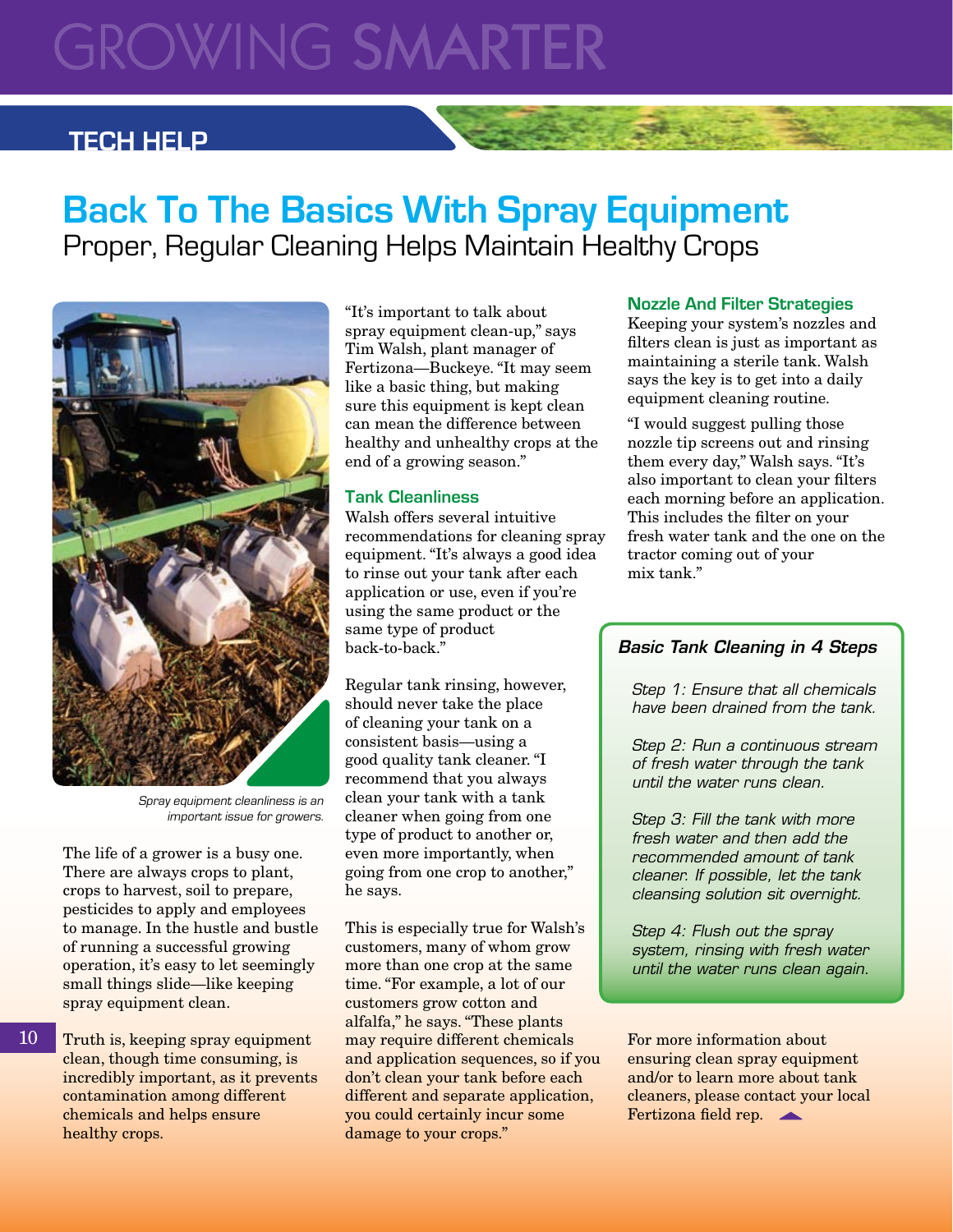# **GROWING SMARTER**

### **TECH HELP**

# **Back To The Basics With Spray Equipment** Proper, Regular Cleaning Helps Maintain Healthy Crops



Spray equipment cleanliness is an important issue for growers.

The life of a grower is a busy one. There are always crops to plant, crops to harvest, soil to prepare, pesticides to apply and employees to manage. In the hustle and bustle of running a successful growing operation, it's easy to let seemingly small things slide—like keeping spray equipment clean.

Truth is, keeping spray equipment clean, though time consuming, is incredibly important, as it prevents contamination among different chemicals and helps ensure healthy crops.

10

"It's important to talk about spray equipment clean-up," says Tim Walsh, plant manager of Fertizona—Buckeye. "It may seem like a basic thing, but making sure this equipment is kept clean can mean the difference between healthy and unhealthy crops at the end of a growing season."

#### **Tank Cleanliness**

Walsh offers several intuitive recommendations for cleaning spray equipment. "It's always a good idea to rinse out your tank after each application or use, even if you're using the same product or the same type of product back-to-back."

Regular tank rinsing, however, should never take the place of cleaning your tank on a consistent basis—using a good quality tank cleaner. "I recommend that you always clean your tank with a tank cleaner when going from one type of product to another or, even more importantly, when going from one crop to another," he says.

This is especially true for Walsh's customers, many of whom grow more than one crop at the same time. "For example, a lot of our customers grow cotton and alfalfa," he says. "These plants may require different chemicals and application sequences, so if you don't clean your tank before each different and separate application, you could certainly incur some damage to your crops."

#### **Nozzle And Filter Strategies**

Keeping your system's nozzles and filters clean is just as important as maintaining a sterile tank. Walsh says the key is to get into a daily equipment cleaning routine.

"I would suggest pulling those nozzle tip screens out and rinsing them every day," Walsh says. "It's also important to clean your filters each morning before an application. This includes the filter on your fresh water tank and the one on the tractor coming out of your mix tank."

#### *Basic Tank Cleaning in 4 Steps*

*Step 1: Ensure that all chemicals have been drained from the tank.*

*Step 2: Run a continuous stream of fresh water through the tank until the water runs clean.*

*Step 3: Fill the tank with more fresh water and then add the recommended amount of tank cleaner. If possible, let the tank cleansing solution sit overnight.*

*Step 4: Flush out the spray system, rinsing with fresh water until the water runs clean again.*

For more information about ensuring clean spray equipment and/or to learn more about tank cleaners, please contact your local Fertizona field rep.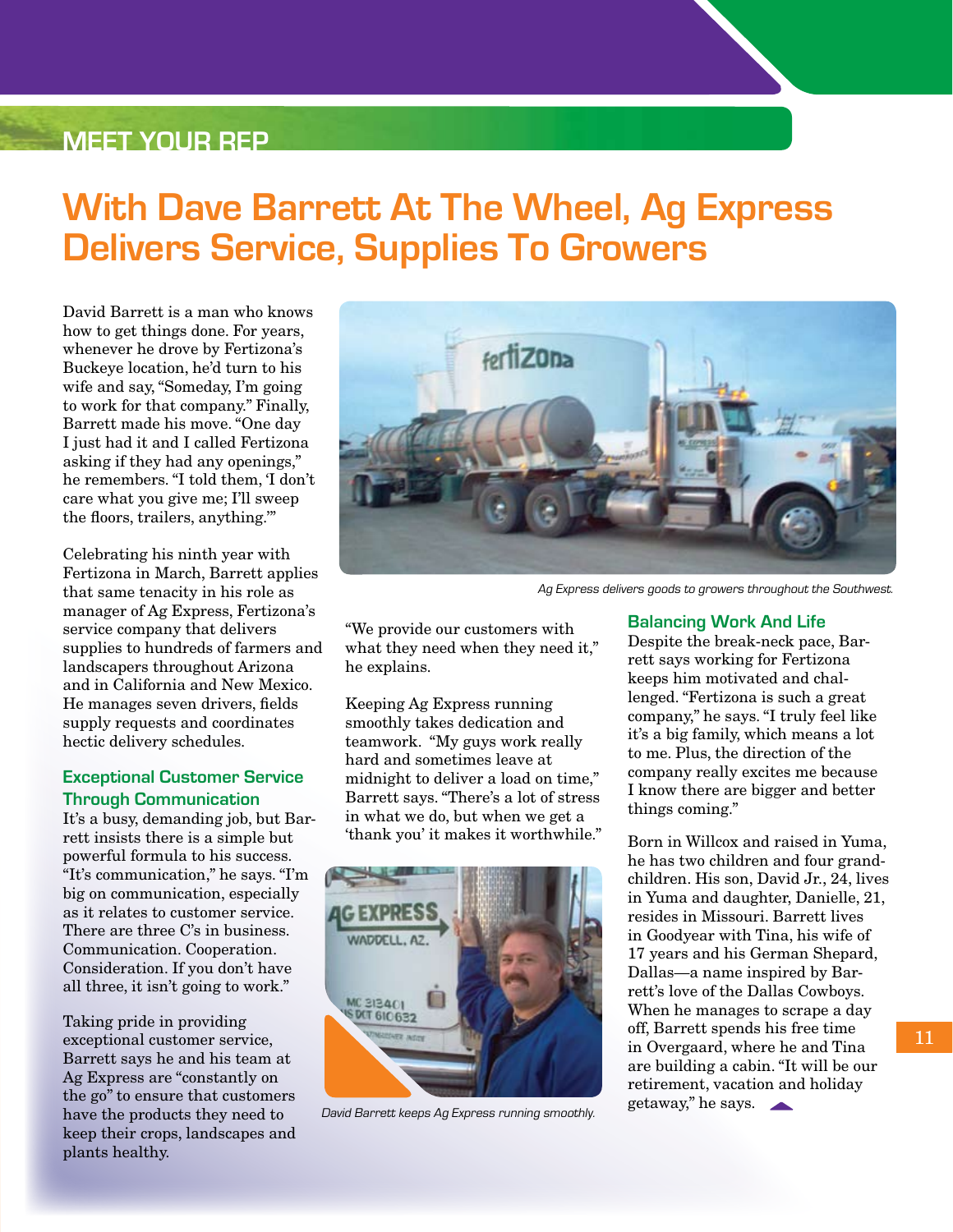### **Meet Your Rep**

# **With Dave Barrett At The Wheel, Ag Express Delivers Service, Supplies To Growers**

David Barrett is a man who knows how to get things done. For years, whenever he drove by Fertizona's Buckeye location, he'd turn to his wife and say, "Someday, I'm going to work for that company." Finally, Barrett made his move. "One day I just had it and I called Fertizona asking if they had any openings," he remembers. "I told them, 'I don't care what you give me; I'll sweep the floors, trailers, anything.'"

Celebrating his ninth year with Fertizona in March, Barrett applies that same tenacity in his role as manager of Ag Express, Fertizona's service company that delivers supplies to hundreds of farmers and landscapers throughout Arizona and in California and New Mexico. He manages seven drivers, fields supply requests and coordinates hectic delivery schedules.

#### **Exceptional Customer Service Through Communication**

It's a busy, demanding job, but Barrett insists there is a simple but powerful formula to his success. "It's communication," he says. "I'm big on communication, especially as it relates to customer service. There are three C's in business. Communication. Cooperation. Consideration. If you don't have all three, it isn't going to work."

Taking pride in providing exceptional customer service, Barrett says he and his team at Ag Express are "constantly on the go" to ensure that customers have the products they need to keep their crops, landscapes and plants healthy.



Ag Express delivers goods to growers throughout the Southwest.

"We provide our customers with what they need when they need it," he explains.

Keeping Ag Express running smoothly takes dedication and teamwork. "My guys work really hard and sometimes leave at midnight to deliver a load on time," Barrett says. "There's a lot of stress in what we do, but when we get a 'thank you' it makes it worthwhile."



David Barrett keeps Ag Express running smoothly.

#### **Balancing Work And Life**

Despite the break-neck pace, Barrett says working for Fertizona keeps him motivated and challenged. "Fertizona is such a great company," he says. "I truly feel like it's a big family, which means a lot to me. Plus, the direction of the company really excites me because I know there are bigger and better things coming."

Born in Willcox and raised in Yuma, he has two children and four grandchildren. His son, David Jr., 24, lives in Yuma and daughter, Danielle, 21, resides in Missouri. Barrett lives in Goodyear with Tina, his wife of 17 years and his German Shepard, Dallas—a name inspired by Barrett's love of the Dallas Cowboys. When he manages to scrape a day off, Barrett spends his free time in Overgaard, where he and Tina are building a cabin. "It will be our retirement, vacation and holiday getaway," he says.